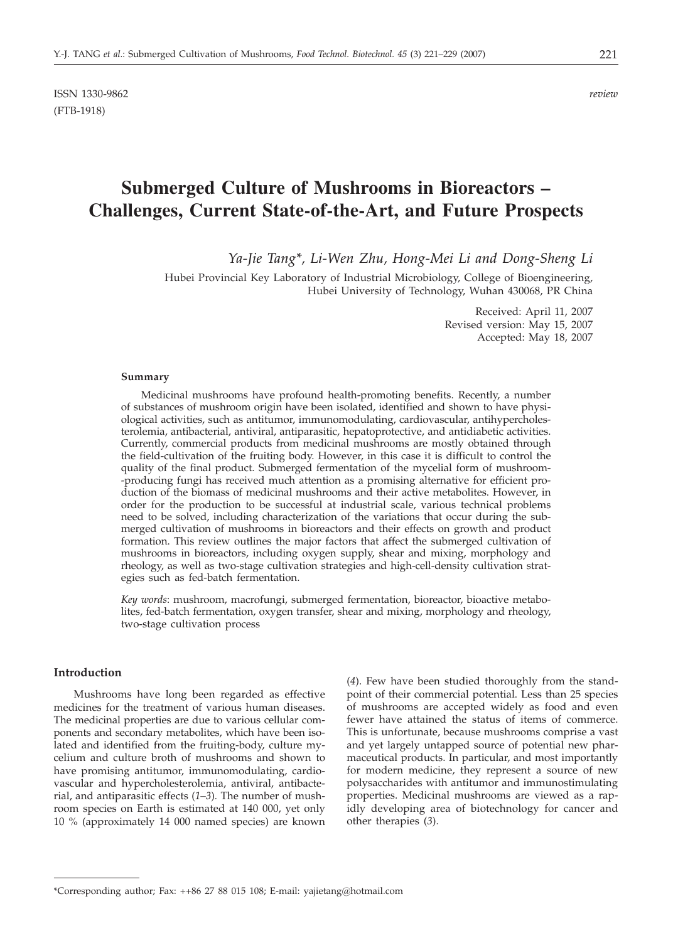(FTB-1918) ISSN 1330-9862

# **Submerged Culture of Mushrooms in Bioreactors – Challenges, Current State-of-the-Art, and Future Prospects**

*Ya-Jie Tang\*, Li-Wen Zhu, Hong-Mei Li and Dong-Sheng Li*

Hubei Provincial Key Laboratory of Industrial Microbiology, College of Bioengineering, Hubei University of Technology, Wuhan 430068, PR China

> Received: April 11, 2007 Revised version: May 15, 2007 Accepted: May 18, 2007

#### **Summary**

Medicinal mushrooms have profound health-promoting benefits. Recently, a number of substances of mushroom origin have been isolated, identified and shown to have physiological activities, such as antitumor, immunomodulating, cardiovascular, antihypercholesterolemia, antibacterial, antiviral, antiparasitic, hepatoprotective, and antidiabetic activities. Currently, commercial products from medicinal mushrooms are mostly obtained through the field-cultivation of the fruiting body. However, in this case it is difficult to control the quality of the final product. Submerged fermentation of the mycelial form of mushroom- -producing fungi has received much attention as a promising alternative for efficient production of the biomass of medicinal mushrooms and their active metabolites. However, in order for the production to be successful at industrial scale, various technical problems need to be solved, including characterization of the variations that occur during the submerged cultivation of mushrooms in bioreactors and their effects on growth and product formation. This review outlines the major factors that affect the submerged cultivation of mushrooms in bioreactors, including oxygen supply, shear and mixing, morphology and rheology, as well as two-stage cultivation strategies and high-cell-density cultivation strategies such as fed-batch fermentation.

*Key words*: mushroom, macrofungi, submerged fermentation, bioreactor, bioactive metabolites, fed-batch fermentation, oxygen transfer, shear and mixing, morphology and rheology, two-stage cultivation process

## **Introduction**

Mushrooms have long been regarded as effective medicines for the treatment of various human diseases. The medicinal properties are due to various cellular components and secondary metabolites, which have been isolated and identified from the fruiting-body, culture mycelium and culture broth of mushrooms and shown to have promising antitumor, immunomodulating, cardiovascular and hypercholesterolemia, antiviral, antibacterial, and antiparasitic effects (*1–3*)*.* The number of mushroom species on Earth is estimated at 140 000, yet only 10 % (approximately 14 000 named species) are known (*4*). Few have been studied thoroughly from the standpoint of their commercial potential. Less than 25 species of mushrooms are accepted widely as food and even fewer have attained the status of items of commerce. This is unfortunate, because mushrooms comprise a vast and yet largely untapped source of potential new pharmaceutical products. In particular, and most importantly for modern medicine, they represent a source of new polysaccharides with antitumor and immunostimulating properties. Medicinal mushrooms are viewed as a rapidly developing area of biotechnology for cancer and other therapies (*3*).

<sup>\*</sup>Corresponding author; Fax: ++86 27 88 015 108; E-mail: yajietang@hotmail.com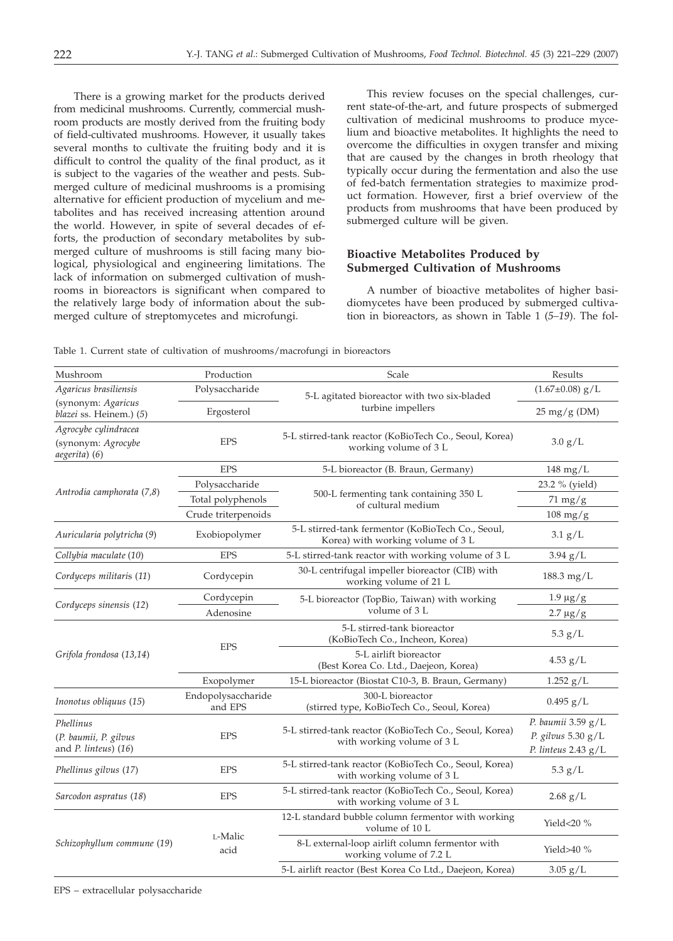There is a growing market for the products derived from medicinal mushrooms. Currently, commercial mushroom products are mostly derived from the fruiting body of field-cultivated mushrooms. However, it usually takes several months to cultivate the fruiting body and it is difficult to control the quality of the final product, as it is subject to the vagaries of the weather and pests. Submerged culture of medicinal mushrooms is a promising alternative for efficient production of mycelium and metabolites and has received increasing attention around the world. However, in spite of several decades of efforts, the production of secondary metabolites by submerged culture of mushrooms is still facing many biological, physiological and engineering limitations. The lack of information on submerged cultivation of mushrooms in bioreactors is significant when compared to the relatively large body of information about the submerged culture of streptomycetes and microfungi.

This review focuses on the special challenges, current state-of-the-art, and future prospects of submerged cultivation of medicinal mushrooms to produce mycelium and bioactive metabolites. It highlights the need to overcome the difficulties in oxygen transfer and mixing that are caused by the changes in broth rheology that typically occur during the fermentation and also the use of fed-batch fermentation strategies to maximize product formation. However, first a brief overview of the products from mushrooms that have been produced by submerged culture will be given.

# **Bioactive Metabolites Produced by Submerged Cultivation of Mushrooms**

A number of bioactive metabolites of higher basidiomycetes have been produced by submerged cultivation in bioreactors, as shown in Table 1 (*5–19*). The fol-

| Mushroom                                                               | Production                    | Scale                                                                                  | Results                                                               |
|------------------------------------------------------------------------|-------------------------------|----------------------------------------------------------------------------------------|-----------------------------------------------------------------------|
| Agaricus brasiliensis<br>(synonym: Agaricus<br>blazei ss. Heinem.) (5) | Polysaccharide                | 5-L agitated bioreactor with two six-bladed<br>turbine impellers                       | $(1.67 \pm 0.08)$ g/L                                                 |
|                                                                        | Ergosterol                    |                                                                                        | $25 \text{ mg/g}$ (DM)                                                |
| Agrocybe cylindracea<br>(synonym: Agrocybe<br>aegerita) (6)            | <b>EPS</b>                    | 5-L stirred-tank reactor (KoBioTech Co., Seoul, Korea)<br>working volume of 3 L        | $3.0$ g/L                                                             |
| Antrodia camphorata (7,8)                                              | <b>EPS</b>                    | 5-L bioreactor (B. Braun, Germany)                                                     | $148 \text{ mg/L}$                                                    |
|                                                                        | Polysaccharide                | 500-L fermenting tank containing 350 L<br>of cultural medium                           | 23.2 % (yield)                                                        |
|                                                                        | Total polyphenols             |                                                                                        | $71 \text{ mg/g}$                                                     |
|                                                                        | Crude triterpenoids           |                                                                                        | $108 \text{ mg/g}$                                                    |
| Auricularia polytricha (9)                                             | Exobiopolymer                 | 5-L stirred-tank fermentor (KoBioTech Co., Seoul,<br>Korea) with working volume of 3 L | $3.1$ g/L                                                             |
| Collybia maculate (10)                                                 | <b>EPS</b>                    | 5-L stirred-tank reactor with working volume of 3 L                                    | $3.94$ g/L                                                            |
| Cordyceps militaris (11)                                               | Cordycepin                    | 30-L centrifugal impeller bioreactor (CIB) with<br>working volume of 21 L              | $188.3 \,\mathrm{mg/L}$                                               |
| Cordyceps sinensis (12)                                                | Cordycepin                    | 5-L bioreactor (TopBio, Taiwan) with working<br>volume of 3 L                          | $1.9 \,\mu g/g$                                                       |
|                                                                        | Adenosine                     |                                                                                        | $2.7 \,\mu g/g$                                                       |
| Grifola frondosa (13,14)                                               | <b>EPS</b>                    | 5-L stirred-tank bioreactor<br>(KoBioTech Co., Incheon, Korea)                         | $5.3$ g/L                                                             |
|                                                                        |                               | 5-L airlift bioreactor<br>(Best Korea Co. Ltd., Daejeon, Korea)                        | $4.53$ g/L                                                            |
|                                                                        | Exopolymer                    | 15-L bioreactor (Biostat C10-3, B. Braun, Germany)                                     | $1.252$ g/L                                                           |
| Inonotus obliquus (15)                                                 | Endopolysaccharide<br>and EPS | 300-L bioreactor<br>(stirred type, KoBioTech Co., Seoul, Korea)                        | $0.495$ g/L                                                           |
| Phellinus<br>(P. baumii, P. gilvus<br>and P. linteus) (16)             | <b>EPS</b>                    | 5-L stirred-tank reactor (KoBioTech Co., Seoul, Korea)<br>with working volume of 3 L   | P. baumii $3.59$ g/L<br>P. gilvus $5.30 g/L$<br>P. linteus $2.43$ g/L |
| Phellinus gilvus (17)                                                  | <b>EPS</b>                    | 5-L stirred-tank reactor (KoBioTech Co., Seoul, Korea)<br>with working volume of 3 L   | $5.3$ g/L                                                             |
| Sarcodon aspratus (18)                                                 | <b>EPS</b>                    | 5-L stirred-tank reactor (KoBioTech Co., Seoul, Korea)<br>with working volume of 3 L   | $2.68$ g/L                                                            |
| Schizophyllum commune (19)                                             | L-Malic<br>acid               | 12-L standard bubble column fermentor with working<br>volume of 10 L                   | Yield<20 $%$                                                          |
|                                                                        |                               | 8-L external-loop airlift column fermentor with<br>working volume of 7.2 L             | Yield $>40\%$                                                         |
|                                                                        |                               | 5-L airlift reactor (Best Korea Co Ltd., Daejeon, Korea)                               | $3.05$ g/L                                                            |

Table 1. Current state of cultivation of mushrooms/macrofungi in bioreactors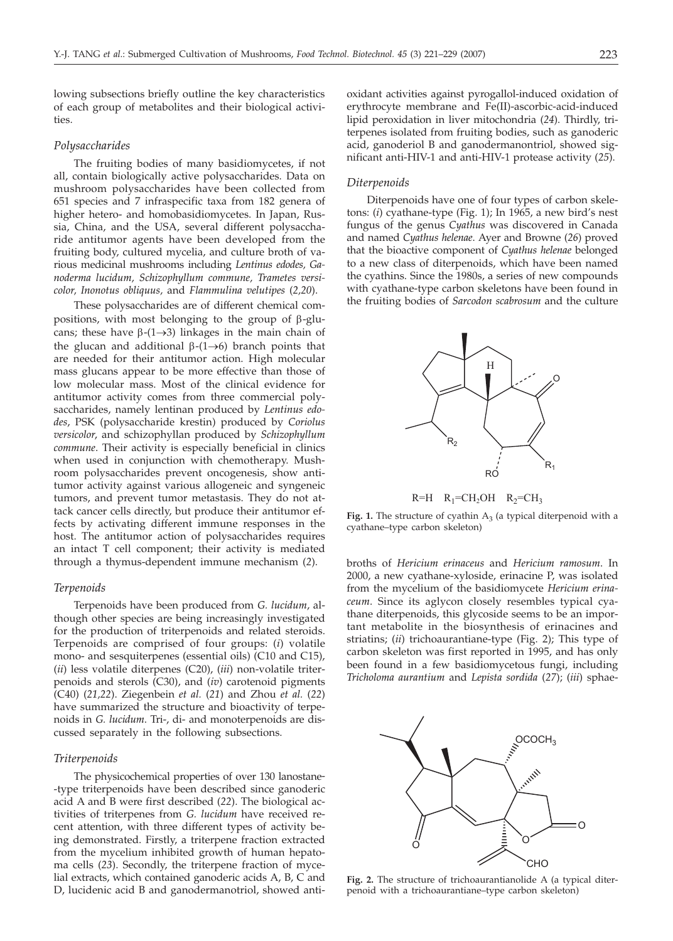lowing subsections briefly outline the key characteristics of each group of metabolites and their biological activities.

#### *Polysaccharides*

The fruiting bodies of many basidiomycetes, if not all, contain biologically active polysaccharides. Data on mushroom polysaccharides have been collected from 651 species and 7 infraspecific taxa from 182 genera of higher hetero- and homobasidiomycetes. In Japan, Russia, China, and the USA, several different polysaccharide antitumor agents have been developed from the fruiting body, cultured mycelia, and culture broth of various medicinal mushrooms including *Lentinus edodes, Ganoderma lucidum, Schizophyllum commune, Trametes versicolor, Inonotus obliquus,* and *Flammulina velutipes* (*2,20*).

These polysaccharides are of different chemical compositions, with most belonging to the group of  $\beta$ -glucans; these have  $\beta$ -(1 $\rightarrow$ 3) linkages in the main chain of the glucan and additional  $\beta$ -(1 $\rightarrow$ 6) branch points that are needed for their antitumor action. High molecular mass glucans appear to be more effective than those of low molecular mass. Most of the clinical evidence for antitumor activity comes from three commercial polysaccharides, namely lentinan produced by *Lentinus edodes*, PSK (polysaccharide krestin) produced by *Coriolus versicolor*, and schizophyllan produced by *Schizophyllum commune*. Their activity is especially beneficial in clinics when used in conjunction with chemotherapy. Mushroom polysaccharides prevent oncogenesis, show antitumor activity against various allogeneic and syngeneic tumors, and prevent tumor metastasis. They do not attack cancer cells directly, but produce their antitumor effects by activating different immune responses in the host. The antitumor action of polysaccharides requires an intact T cell component; their activity is mediated through a thymus-dependent immune mechanism (*2*).

#### *Terpenoids*

Terpenoids have been produced from *G. lucidum*, although other species are being increasingly investigated for the production of triterpenoids and related steroids. Terpenoids are comprised of four groups: (*i*) volatile mono- and sesquiterpenes (essential oils) (C10 and C15), (*ii*) less volatile diterpenes (C20), (*iii*) non-volatile triterpenoids and sterols (C30), and (*iv*) carotenoid pigments (C40) (*21,22*). Ziegenbein *et al.* (*21*) and Zhou *et al.* (*22*) have summarized the structure and bioactivity of terpenoids in *G. lucidum*. Tri-, di- and monoterpenoids are discussed separately in the following subsections.

# *Triterpenoids*

The physicochemical properties of over 130 lanostane- -type triterpenoids have been described since ganoderic acid A and B were first described (*22*). The biological activities of triterpenes from *G. lucidum* have received recent attention, with three different types of activity being demonstrated. Firstly, a triterpene fraction extracted from the mycelium inhibited growth of human hepatoma cells (*23*). Secondly, the triterpene fraction of mycelial extracts, which contained ganoderic acids A, B, C and D, lucidenic acid B and ganodermanotriol, showed anti-

oxidant activities against pyrogallol-induced oxidation of erythrocyte membrane and Fe(II)-ascorbic-acid-induced lipid peroxidation in liver mitochondria (*24*). Thirdly, triterpenes isolated from fruiting bodies, such as ganoderic acid, ganoderiol B and ganodermanontriol, showed significant anti-HIV-1 and anti-HIV-1 protease activity (*25*).

#### *Diterpenoids*

Diterpenoids have one of four types of carbon skeletons: (*i*) cyathane-type (Fig. 1); In 1965, a new bird's nest fungus of the genus *Cyathus* was discovered in Canada and named *Cyathus helenae*. Ayer and Browne (*26*) proved that the bioactive component of *Cyathus helenae* belonged to a new class of diterpenoids, which have been named the cyathins. Since the 1980s, a series of new compounds with cyathane-type carbon skeletons have been found in the fruiting bodies of *Sarcodon scabrosum* and the culture





**Fig. 1.** The structure of cyathin  $A_3$  (a typical diterpenoid with a cyathane–type carbon skeleton)

broths of *Hericium erinaceus* and *Hericium ramosum*. In 2000, a new cyathane-xyloside, erinacine P, was isolated from the mycelium of the basidiomycete *Hericium erinaceum*. Since its aglycon closely resembles typical cyathane diterpenoids, this glycoside seems to be an important metabolite in the biosynthesis of erinacines and striatins; (*ii*) trichoaurantiane-type (Fig. 2); This type of carbon skeleton was first reported in 1995, and has only been found in a few basidiomycetous fungi, including *Tricholoma aurantium* and *Lepista sordida* (*27*); (*iii*) sphae-



**Fig. 2.** The structure of trichoaurantianolide A (a typical diterpenoid with a trichoaurantiane–type carbon skeleton)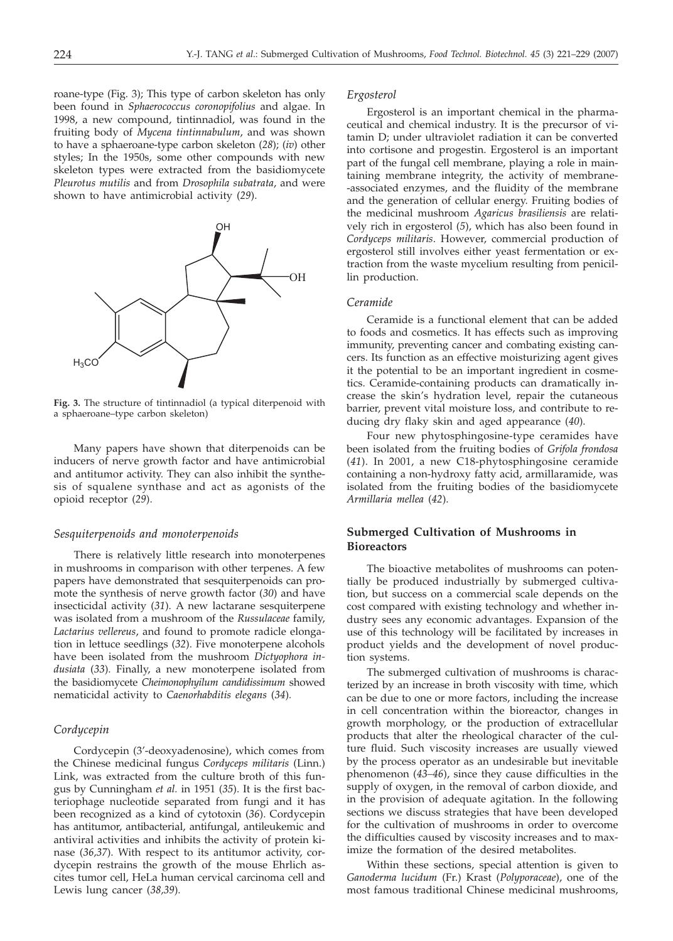roane-type (Fig. 3); This type of carbon skeleton has only been found in *Sphaerococcus coronopifolius* and algae. In 1998, a new compound, tintinnadiol, was found in the fruiting body of *Mycena tintinnabulum*, and was shown to have a sphaeroane-type carbon skeleton (*28*); (*iv*) other styles; In the 1950s, some other compounds with new skeleton types were extracted from the basidiomycete *Pleurotus mutilis* and from *Drosophila subatrata*, and were shown to have antimicrobial activity (*29*).



**Fig. 3.** The structure of tintinnadiol (a typical diterpenoid with a sphaeroane–type carbon skeleton)

Many papers have shown that diterpenoids can be inducers of nerve growth factor and have antimicrobial and antitumor activity. They can also inhibit the synthesis of squalene synthase and act as agonists of the opioid receptor (*29*).

#### *Sesquiterpenoids and monoterpenoids*

There is relatively little research into monoterpenes in mushrooms in comparison with other terpenes. A few papers have demonstrated that sesquiterpenoids can promote the synthesis of nerve growth factor (*30*) and have insecticidal activity (*31*). A new lactarane sesquiterpene was isolated from a mushroom of the *Russulaceae* family, *Lactarius vellereus*, and found to promote radicle elongation in lettuce seedlings (*32*). Five monoterpene alcohols have been isolated from the mushroom *Dictyophora indusiata* (*33*). Finally, a new monoterpene isolated from the basidiomycete *Cheimonophyilum candidissimum* showed nematicidal activity to *Caenorhabditis elegans* (*34*)*.*

## *Cordycepin*

Cordycepin (3'-deoxyadenosine), which comes from the Chinese medicinal fungus *Cordyceps militaris* (Linn.) Link, was extracted from the culture broth of this fungus by Cunningham *et al.* in 1951 (*35*). It is the first bacteriophage nucleotide separated from fungi and it has been recognized as a kind of cytotoxin (*36*). Cordycepin has antitumor, antibacterial, antifungal, antileukemic and antiviral activities and inhibits the activity of protein kinase (*36,37*). With respect to its antitumor activity, cordycepin restrains the growth of the mouse Ehrlich ascites tumor cell, HeLa human cervical carcinoma cell and Lewis lung cancer (*38,39*).

## *Ergosterol*

Ergosterol is an important chemical in the pharmaceutical and chemical industry. It is the precursor of vitamin D; under ultraviolet radiation it can be converted into cortisone and progestin. Ergosterol is an important part of the fungal cell membrane, playing a role in maintaining membrane integrity, the activity of membrane- -associated enzymes, and the fluidity of the membrane and the generation of cellular energy. Fruiting bodies of the medicinal mushroom *Agaricus brasiliensis* are relatively rich in ergosterol (*5*), which has also been found in *Cordyceps militaris*. However, commercial production of ergosterol still involves either yeast fermentation or extraction from the waste mycelium resulting from penicillin production.

#### *Ceramide*

Ceramide is a functional element that can be added to foods and cosmetics. It has effects such as improving immunity, preventing cancer and combating existing cancers. Its function as an effective moisturizing agent gives it the potential to be an important ingredient in cosmetics. Ceramide-containing products can dramatically increase the skin's hydration level, repair the cutaneous barrier, prevent vital moisture loss, and contribute to reducing dry flaky skin and aged appearance (*40*).

Four new phytosphingosine-type ceramides have been isolated from the fruiting bodies of *Grifola frondosa* (*41*). In 2001, a new C18-phytosphingosine ceramide containing a non-hydroxy fatty acid, armillaramide, was isolated from the fruiting bodies of the basidiomycete *Armillaria mellea* (*42*).

# **Submerged Cultivation of Mushrooms in Bioreactors**

The bioactive metabolites of mushrooms can potentially be produced industrially by submerged cultivation, but success on a commercial scale depends on the cost compared with existing technology and whether industry sees any economic advantages. Expansion of the use of this technology will be facilitated by increases in product yields and the development of novel production systems.

The submerged cultivation of mushrooms is characterized by an increase in broth viscosity with time, which can be due to one or more factors, including the increase in cell concentration within the bioreactor, changes in growth morphology, or the production of extracellular products that alter the rheological character of the culture fluid. Such viscosity increases are usually viewed by the process operator as an undesirable but inevitable phenomenon (*43–46*), since they cause difficulties in the supply of oxygen, in the removal of carbon dioxide, and in the provision of adequate agitation. In the following sections we discuss strategies that have been developed for the cultivation of mushrooms in order to overcome the difficulties caused by viscosity increases and to maximize the formation of the desired metabolites.

Within these sections, special attention is given to *Ganoderma lucidum* (Fr.) Krast (*Polyporaceae*), one of the most famous traditional Chinese medicinal mushrooms,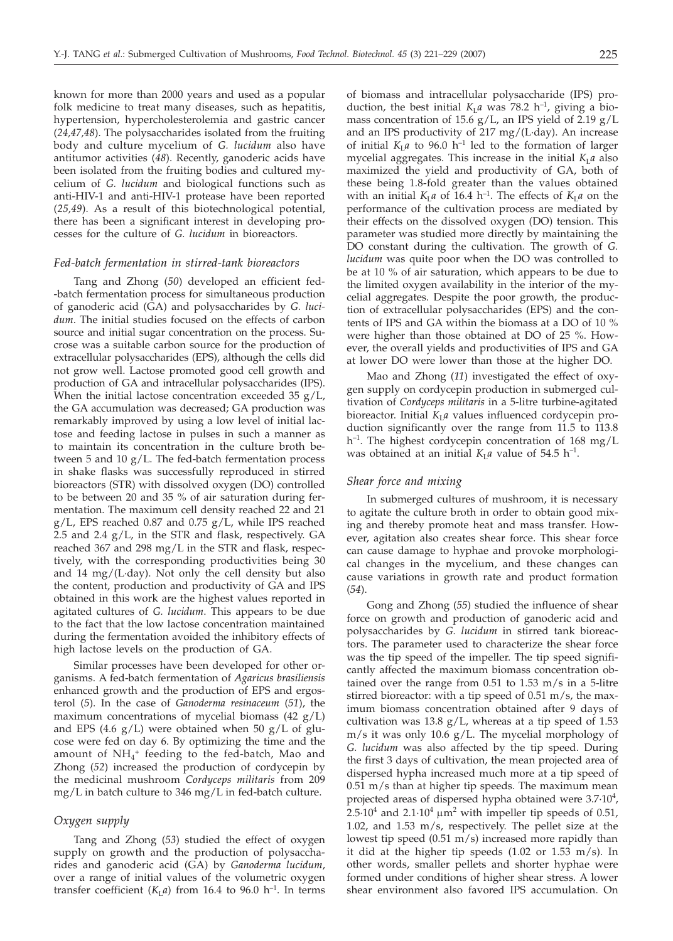known for more than 2000 years and used as a popular folk medicine to treat many diseases, such as hepatitis, hypertension, hypercholesterolemia and gastric cancer (*24,47,48*). The polysaccharides isolated from the fruiting body and culture mycelium of *G. lucidum* also have antitumor activities (*48*). Recently, ganoderic acids have been isolated from the fruiting bodies and cultured mycelium of *G. lucidum* and biological functions such as anti-HIV-1 and anti-HIV-1 protease have been reported (*25,49*). As a result of this biotechnological potential, there has been a significant interest in developing processes for the culture of *G. lucidum* in bioreactors.

#### *Fed-batch fermentation in stirred-tank bioreactors*

Tang and Zhong (*50*) developed an efficient fed- -batch fermentation process for simultaneous production of ganoderic acid (GA) and polysaccharides by *G. lucidum*. The initial studies focused on the effects of carbon source and initial sugar concentration on the process. Sucrose was a suitable carbon source for the production of extracellular polysaccharides (EPS), although the cells did not grow well. Lactose promoted good cell growth and production of GA and intracellular polysaccharides (IPS). When the initial lactose concentration exceeded  $35 \text{ g/L}$ , the GA accumulation was decreased; GA production was remarkably improved by using a low level of initial lactose and feeding lactose in pulses in such a manner as to maintain its concentration in the culture broth between 5 and 10 g/L. The fed-batch fermentation process in shake flasks was successfully reproduced in stirred bioreactors (STR) with dissolved oxygen (DO) controlled to be between 20 and 35 % of air saturation during fermentation. The maximum cell density reached 22 and 21 g/L, EPS reached 0.87 and 0.75 g/L, while IPS reached 2.5 and 2.4  $g/L$ , in the STR and flask, respectively. GA reached 367 and 298 mg/L in the STR and flask, respectively, with the corresponding productivities being 30 and 14 mg/(L·day). Not only the cell density but also the content, production and productivity of GA and IPS obtained in this work are the highest values reported in agitated cultures of *G. lucidum*. This appears to be due to the fact that the low lactose concentration maintained during the fermentation avoided the inhibitory effects of high lactose levels on the production of GA.

Similar processes have been developed for other organisms. A fed-batch fermentation of *Agaricus brasiliensis* enhanced growth and the production of EPS and ergosterol (*5*). In the case of *Ganoderma resinaceum* (*51*), the maximum concentrations of mycelial biomass  $(42 g/L)$ and EPS (4.6  $g/L$ ) were obtained when 50  $g/L$  of glucose were fed on day 6. By optimizing the time and the amount of NH4 <sup>+</sup> feeding to the fed-batch, Mao and Zhong (*52*) increased the production of cordycepin by the medicinal mushroom *Cordyceps militaris* from 209 mg/L in batch culture to 346 mg/L in fed-batch culture.

## *Oxygen supply*

Tang and Zhong (*53*) studied the effect of oxygen supply on growth and the production of polysaccharides and ganoderic acid (GA) by *Ganoderma lucidum*, over a range of initial values of the volumetric oxygen transfer coefficient ( $K_{\text{I}}a$ ) from 16.4 to 96.0 h<sup>-1</sup>. In terms

of biomass and intracellular polysaccharide (IPS) production, the best initial  $K_{\text{I}}a$  was 78.2 h<sup>-1</sup>, giving a biomass concentration of 15.6 g/L, an IPS yield of 2.19 g/L and an IPS productivity of 217 mg/(L·day). An increase of initial  $K_{\rm I}a$  to 96.0 h<sup>-1</sup> led to the formation of larger mycelial aggregates. This increase in the initial  $K<sub>L</sub>a$  also maximized the yield and productivity of GA, both of these being 1.8-fold greater than the values obtained with an initial  $K_{\text{I}}a$  of 16.4 h<sup>-1</sup>. The effects of  $K_{\text{I}}a$  on the performance of the cultivation process are mediated by their effects on the dissolved oxygen (DO) tension. This parameter was studied more directly by maintaining the DO constant during the cultivation. The growth of *G. lucidum* was quite poor when the DO was controlled to be at 10 % of air saturation, which appears to be due to the limited oxygen availability in the interior of the mycelial aggregates. Despite the poor growth, the production of extracellular polysaccharides (EPS) and the contents of IPS and GA within the biomass at a DO of 10 % were higher than those obtained at DO of 25 %. However, the overall yields and productivities of IPS and GA at lower DO were lower than those at the higher DO.

Mao and Zhong (*11*) investigated the effect of oxygen supply on cordycepin production in submerged cultivation of *Cordyceps militaris* in a 5-litre turbine-agitated bioreactor. Initial  $K_{\text{I}}a$  values influenced cordycepin production significantly over the range from 11.5 to 113.8  $h^{-1}$ . The highest cordycepin concentration of 168 mg/L was obtained at an initial  $K<sub>L</sub>a$  value of 54.5 h<sup>-1</sup>.

## *Shear force and mixing*

In submerged cultures of mushroom, it is necessary to agitate the culture broth in order to obtain good mixing and thereby promote heat and mass transfer. However, agitation also creates shear force. This shear force can cause damage to hyphae and provoke morphological changes in the mycelium, and these changes can cause variations in growth rate and product formation (*54*).

Gong and Zhong (*55*) studied the influence of shear force on growth and production of ganoderic acid and polysaccharides by *G. lucidum* in stirred tank bioreactors. The parameter used to characterize the shear force was the tip speed of the impeller. The tip speed significantly affected the maximum biomass concentration obtained over the range from 0.51 to 1.53 m/s in a 5-litre stirred bioreactor: with a tip speed of 0.51 m/s, the maximum biomass concentration obtained after 9 days of cultivation was  $13.8 \text{ g/L}$ , whereas at a tip speed of 1.53 m/s it was only 10.6 g/L. The mycelial morphology of *G. lucidum* was also affected by the tip speed. During the first 3 days of cultivation, the mean projected area of dispersed hypha increased much more at a tip speed of 0.51 m/s than at higher tip speeds. The maximum mean projected areas of dispersed hypha obtained were  $3.7 \cdot 10^4$ ,  $2.5·10<sup>4</sup>$  and  $2.1·10<sup>4</sup>$  µm<sup>2</sup> with impeller tip speeds of 0.51, 1.02, and 1.53 m/s, respectively. The pellet size at the lowest tip speed  $(0.51 \text{ m/s})$  increased more rapidly than it did at the higher tip speeds (1.02 or 1.53 m/s). In other words, smaller pellets and shorter hyphae were formed under conditions of higher shear stress. A lower shear environment also favored IPS accumulation. On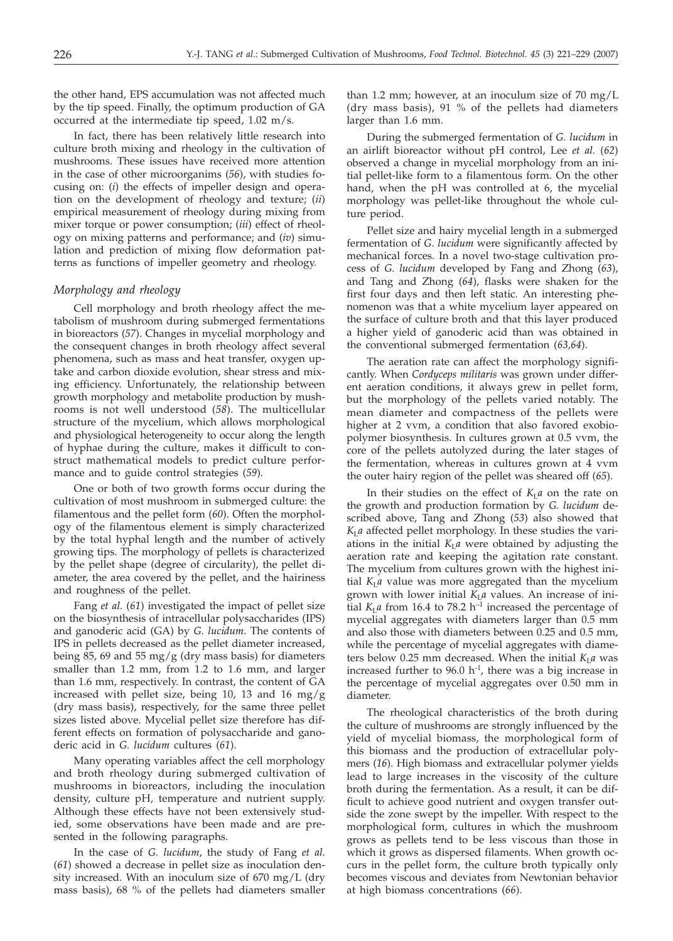the other hand, EPS accumulation was not affected much by the tip speed. Finally, the optimum production of GA occurred at the intermediate tip speed, 1.02 m/s.

In fact, there has been relatively little research into culture broth mixing and rheology in the cultivation of mushrooms. These issues have received more attention in the case of other microorganims (*56*), with studies focusing on: (*i*) the effects of impeller design and operation on the development of rheology and texture; (*ii*) empirical measurement of rheology during mixing from mixer torque or power consumption; (*iii*) effect of rheology on mixing patterns and performance; and (*iv*) simulation and prediction of mixing flow deformation patterns as functions of impeller geometry and rheology.

### *Morphology and rheology*

Cell morphology and broth rheology affect the metabolism of mushroom during submerged fermentations in bioreactors (*57*). Changes in mycelial morphology and the consequent changes in broth rheology affect several phenomena, such as mass and heat transfer, oxygen uptake and carbon dioxide evolution, shear stress and mixing efficiency. Unfortunately, the relationship between growth morphology and metabolite production by mushrooms is not well understood (*58*). The multicellular structure of the mycelium, which allows morphological and physiological heterogeneity to occur along the length of hyphae during the culture, makes it difficult to construct mathematical models to predict culture performance and to guide control strategies (*59*).

One or both of two growth forms occur during the cultivation of most mushroom in submerged culture: the filamentous and the pellet form (*60*). Often the morphology of the filamentous element is simply characterized by the total hyphal length and the number of actively growing tips. The morphology of pellets is characterized by the pellet shape (degree of circularity), the pellet diameter, the area covered by the pellet, and the hairiness and roughness of the pellet.

Fang *et al.* (*61*) investigated the impact of pellet size on the biosynthesis of intracellular polysaccharides (IPS) and ganoderic acid (GA) by *G. lucidum*. The contents of IPS in pellets decreased as the pellet diameter increased, being 85, 69 and 55 mg/g (dry mass basis) for diameters smaller than 1.2 mm, from 1.2 to 1.6 mm, and larger than 1.6 mm, respectively. In contrast, the content of GA increased with pellet size, being 10, 13 and 16 mg/g (dry mass basis), respectively, for the same three pellet sizes listed above. Mycelial pellet size therefore has different effects on formation of polysaccharide and ganoderic acid in *G. lucidum* cultures (*61*).

Many operating variables affect the cell morphology and broth rheology during submerged cultivation of mushrooms in bioreactors, including the inoculation density, culture pH, temperature and nutrient supply. Although these effects have not been extensively studied, some observations have been made and are presented in the following paragraphs.

In the case of *G. lucidum*, the study of Fang *et al.* (*61*) showed a decrease in pellet size as inoculation density increased. With an inoculum size of 670 mg/L (dry mass basis), 68 % of the pellets had diameters smaller than 1.2 mm; however, at an inoculum size of 70 mg/L (dry mass basis), 91 % of the pellets had diameters larger than 1.6 mm.

During the submerged fermentation of *G. lucidum* in an airlift bioreactor without pH control, Lee *et al.* (*62*) observed a change in mycelial morphology from an initial pellet-like form to a filamentous form. On the other hand, when the pH was controlled at 6, the mycelial morphology was pellet-like throughout the whole culture period.

Pellet size and hairy mycelial length in a submerged fermentation of *G. lucidum* were significantly affected by mechanical forces. In a novel two-stage cultivation process of *G. lucidum* developed by Fang and Zhong (*63*), and Tang and Zhong (*64*), flasks were shaken for the first four days and then left static. An interesting phenomenon was that a white mycelium layer appeared on the surface of culture broth and that this layer produced a higher yield of ganoderic acid than was obtained in the conventional submerged fermentation (*63,64*).

The aeration rate can affect the morphology significantly. When *Cordyceps militaris* was grown under different aeration conditions, it always grew in pellet form, but the morphology of the pellets varied notably. The mean diameter and compactness of the pellets were higher at 2 vvm, a condition that also favored exobiopolymer biosynthesis. In cultures grown at 0.5 vvm, the core of the pellets autolyzed during the later stages of the fermentation, whereas in cultures grown at 4 vvm the outer hairy region of the pellet was sheared off (*65*).

In their studies on the effect of  $K_{L}a$  on the rate on the growth and production formation by *G. lucidum* described above, Tang and Zhong (*53*) also showed that  $K<sub>L</sub>a$  affected pellet morphology. In these studies the variations in the initial  $K<sub>L</sub>a$  were obtained by adjusting the aeration rate and keeping the agitation rate constant. The mycelium from cultures grown with the highest initial  $K<sub>L</sub>a$  value was more aggregated than the mycelium grown with lower initial  $K<sub>L</sub>a$  values. An increase of initial  $K_{\text{I}}a$  from 16.4 to 78.2 h<sup>-1</sup> increased the percentage of mycelial aggregates with diameters larger than 0.5 mm and also those with diameters between 0.25 and 0.5 mm, while the percentage of mycelial aggregates with diameters below 0.25 mm decreased. When the initial  $K_{\text{I}}a$  was increased further to  $96.0$  h<sup>-1</sup>, there was a big increase in the percentage of mycelial aggregates over 0.50 mm in diameter.

The rheological characteristics of the broth during the culture of mushrooms are strongly influenced by the yield of mycelial biomass, the morphological form of this biomass and the production of extracellular polymers (*16*). High biomass and extracellular polymer yields lead to large increases in the viscosity of the culture broth during the fermentation. As a result, it can be difficult to achieve good nutrient and oxygen transfer outside the zone swept by the impeller. With respect to the morphological form, cultures in which the mushroom grows as pellets tend to be less viscous than those in which it grows as dispersed filaments. When growth occurs in the pellet form, the culture broth typically only becomes viscous and deviates from Newtonian behavior at high biomass concentrations (*66*).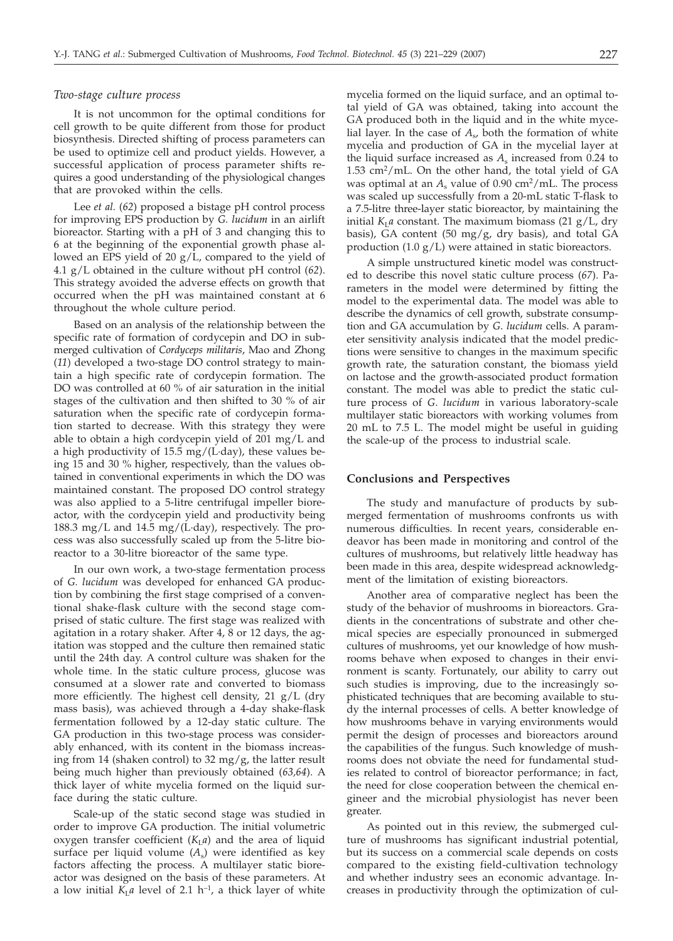#### *Two-stage culture process*

It is not uncommon for the optimal conditions for cell growth to be quite different from those for product biosynthesis. Directed shifting of process parameters can be used to optimize cell and product yields. However, a successful application of process parameter shifts requires a good understanding of the physiological changes that are provoked within the cells.

Lee *et al.* (*62*) proposed a bistage pH control process for improving EPS production by *G. lucidum* in an airlift bioreactor. Starting with a pH of 3 and changing this to 6 at the beginning of the exponential growth phase allowed an EPS yield of 20 g/L, compared to the yield of 4.1 g/L obtained in the culture without pH control (*62*). This strategy avoided the adverse effects on growth that occurred when the pH was maintained constant at 6 throughout the whole culture period.

Based on an analysis of the relationship between the specific rate of formation of cordycepin and DO in submerged cultivation of *Cordyceps militaris*, Mao and Zhong (*11*) developed a two-stage DO control strategy to maintain a high specific rate of cordycepin formation. The DO was controlled at 60 % of air saturation in the initial stages of the cultivation and then shifted to 30 % of air saturation when the specific rate of cordycepin formation started to decrease. With this strategy they were able to obtain a high cordycepin yield of 201 mg/L and a high productivity of 15.5 mg/(L·day), these values being 15 and 30 % higher, respectively, than the values obtained in conventional experiments in which the DO was maintained constant. The proposed DO control strategy was also applied to a 5-litre centrifugal impeller bioreactor, with the cordycepin yield and productivity being 188.3 mg/L and 14.5 mg/(L·day), respectively. The process was also successfully scaled up from the 5-litre bioreactor to a 30-litre bioreactor of the same type.

In our own work, a two-stage fermentation process of *G. lucidum* was developed for enhanced GA production by combining the first stage comprised of a conventional shake-flask culture with the second stage comprised of static culture. The first stage was realized with agitation in a rotary shaker. After 4, 8 or 12 days, the agitation was stopped and the culture then remained static until the 24th day. A control culture was shaken for the whole time. In the static culture process, glucose was consumed at a slower rate and converted to biomass more efficiently. The highest cell density, 21 g/L (dry mass basis), was achieved through a 4-day shake-flask fermentation followed by a 12-day static culture. The GA production in this two-stage process was considerably enhanced, with its content in the biomass increasing from 14 (shaken control) to 32 mg/g, the latter result being much higher than previously obtained (*63,64*). A thick layer of white mycelia formed on the liquid surface during the static culture.

Scale-up of the static second stage was studied in order to improve GA production. The initial volumetric oxygen transfer coefficient  $(K<sub>L</sub>a)$  and the area of liquid surface per liquid volume  $(A<sub>s</sub>)$  were identified as key factors affecting the process. A multilayer static bioreactor was designed on the basis of these parameters. At a low initial  $K_{\text{L}}a$  level of 2.1 h<sup>-1</sup>, a thick layer of white

mycelia formed on the liquid surface, and an optimal total yield of GA was obtained, taking into account the GA produced both in the liquid and in the white mycelial layer. In the case of  $A<sub>s</sub>$ , both the formation of white mycelia and production of GA in the mycelial layer at the liquid surface increased as  $A_s$  increased from 0.24 to  $1.53$  cm<sup>2</sup>/mL. On the other hand, the total yield of GA was optimal at an  $A<sub>s</sub>$  value of 0.90 cm<sup>2</sup>/mL. The process was scaled up successfully from a 20-mL static T-flask to a 7.5-litre three-layer static bioreactor, by maintaining the initial  $K<sub>L</sub>a$  constant. The maximum biomass (21 g/L, dry basis), GA content (50 mg/g, dry basis), and total GA production (1.0 g/L) were attained in static bioreactors.

A simple unstructured kinetic model was constructed to describe this novel static culture process (*67*). Parameters in the model were determined by fitting the model to the experimental data. The model was able to describe the dynamics of cell growth, substrate consumption and GA accumulation by *G*. *lucidum* cells. A parameter sensitivity analysis indicated that the model predictions were sensitive to changes in the maximum specific growth rate, the saturation constant, the biomass yield on lactose and the growth-associated product formation constant. The model was able to predict the static culture process of *G*. *lucidum* in various laboratory-scale multilayer static bioreactors with working volumes from 20 mL to 7.5 L. The model might be useful in guiding the scale-up of the process to industrial scale.

#### **Conclusions and Perspectives**

The study and manufacture of products by submerged fermentation of mushrooms confronts us with numerous difficulties. In recent years, considerable endeavor has been made in monitoring and control of the cultures of mushrooms, but relatively little headway has been made in this area, despite widespread acknowledgment of the limitation of existing bioreactors.

Another area of comparative neglect has been the study of the behavior of mushrooms in bioreactors. Gradients in the concentrations of substrate and other chemical species are especially pronounced in submerged cultures of mushrooms, yet our knowledge of how mushrooms behave when exposed to changes in their environment is scanty. Fortunately, our ability to carry out such studies is improving, due to the increasingly sophisticated techniques that are becoming available to study the internal processes of cells. A better knowledge of how mushrooms behave in varying environments would permit the design of processes and bioreactors around the capabilities of the fungus. Such knowledge of mushrooms does not obviate the need for fundamental studies related to control of bioreactor performance; in fact, the need for close cooperation between the chemical engineer and the microbial physiologist has never been greater.

As pointed out in this review, the submerged culture of mushrooms has significant industrial potential, but its success on a commercial scale depends on costs compared to the existing field-cultivation technology and whether industry sees an economic advantage. Increases in productivity through the optimization of cul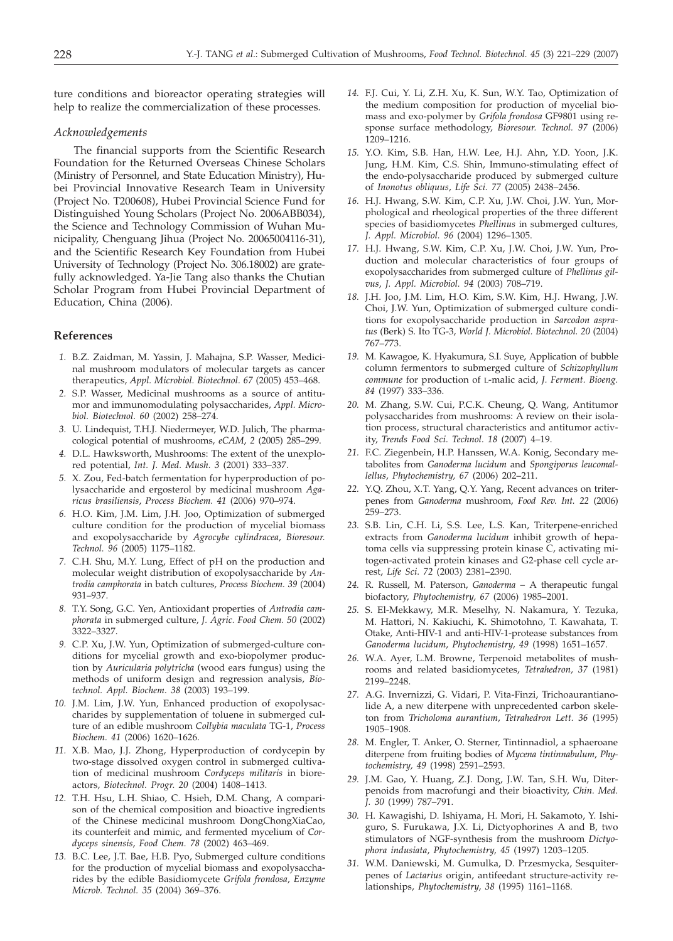ture conditions and bioreactor operating strategies will help to realize the commercialization of these processes.

## *Acknowledgements*

The financial supports from the Scientific Research Foundation for the Returned Overseas Chinese Scholars (Ministry of Personnel, and State Education Ministry), Hubei Provincial Innovative Research Team in University (Project No. T200608), Hubei Provincial Science Fund for Distinguished Young Scholars (Project No. 2006ABB034), the Science and Technology Commission of Wuhan Municipality, Chenguang Jihua (Project No. 20065004116-31), and the Scientific Research Key Foundation from Hubei University of Technology (Project No. 306.18002) are gratefully acknowledged. Ya-Jie Tang also thanks the Chutian Scholar Program from Hubei Provincial Department of Education, China (2006).

# **References**

- *1.* B.Z. Zaidman, M. Yassin, J. Mahajna, S.P. Wasser, Medicinal mushroom modulators of molecular targets as cancer therapeutics, *Appl. Microbiol. Biotechnol. 67* (2005) 453–468.
- *2.* S.P. Wasser, Medicinal mushrooms as a source of antitumor and immunomodulating polysaccharides, *Appl. Microbiol. Biotechnol. 60* (2002) 258–274.
- *3.* U. Lindequist, T.H.J. Niedermeyer, W.D. Julich, The pharmacological potential of mushrooms, *eCAM*, *2* (2005) 285–299.
- *4.* D.L. Hawksworth, Mushrooms: The extent of the unexplored potential, *Int. J. Med. Mush. 3* (2001) 333–337.
- *5.* X. Zou, Fed-batch fermentation for hyperproduction of polysaccharide and ergosterol by medicinal mushroom *Agaricus brasiliensis*, *Process Biochem. 41* (2006) 970–974.
- *6.* H.O. Kim, J.M. Lim, J.H. Joo, Optimization of submerged culture condition for the production of mycelial biomass and exopolysaccharide by *Agrocybe cylindracea*, *Bioresour. Technol. 96* (2005) 1175–1182.
- *7.* C.H. Shu, M.Y. Lung, Effect of pH on the production and molecular weight distribution of exopolysaccharide by *Antrodia camphorata* in batch cultures, *Process Biochem. 39* (2004) 931–937.
- *8.* T.Y. Song, G.C. Yen, Antioxidant properties of *Antrodia camphorata* in submerged culture, *J. Agric. Food Chem. 50* (2002) 3322–3327.
- *9.* C.P. Xu, J.W. Yun, Optimization of submerged-culture conditions for mycelial growth and exo-biopolymer production by *Auricularia polytricha* (wood ears fungus) using the methods of uniform design and regression analysis, *Biotechnol. Appl. Biochem*. *38* (2003) 193–199.
- *10.* J.M. Lim, J.W. Yun, Enhanced production of exopolysaccharides by supplementation of toluene in submerged culture of an edible mushroom *Collybia maculata* TG-1, *Process Biochem. 41* (2006) 1620–1626.
- *11.* X.B. Mao, J.J. Zhong, Hyperproduction of cordycepin by two-stage dissolved oxygen control in submerged cultivation of medicinal mushroom *Cordyceps militaris* in bioreactors, *Biotechnol. Progr*. *20* (2004) 1408–1413.
- *12.* T.H. Hsu, L.H. Shiao, C. Hsieh, D.M. Chang, A comparison of the chemical composition and bioactive ingredients of the Chinese medicinal mushroom DongChongXiaCao, its counterfeit and mimic, and fermented mycelium of *Cordyceps sinensis*, *Food Chem. 78* (2002) 463–469.
- *13.* B.C. Lee, J.T. Bae, H.B. Pyo, Submerged culture conditions for the production of mycelial biomass and exopolysaccharides by the edible Basidiomycete *Grifola frondosa*, *Enzyme Microb. Technol. 35* (2004) 369–376.
- *14.* F.J. Cui, Y. Li, Z.H. Xu, K. Sun, W.Y. Tao, Optimization of the medium composition for production of mycelial biomass and exo-polymer by *Grifola frondosa* GF9801 using response surface methodology, *Bioresour. Technol. 97* (2006) 1209–1216.
- *15.* Y.O. Kim, S.B. Han, H.W. Lee, H.J. Ahn, Y.D. Yoon, J.K. Jung, H.M. Kim, C.S. Shin, Immuno-stimulating effect of the endo-polysaccharide produced by submerged culture of *Inonotus obliquus*, *Life Sci. 77* (2005) 2438–2456.
- *16.* H.J. Hwang, S.W. Kim, C.P. Xu, J.W. Choi, J.W. Yun, Morphological and rheological properties of the three different species of basidiomycetes *Phellinus* in submerged cultures, *J. Appl. Microbiol. 96* (2004) 1296–1305.
- *17.* H.J. Hwang, S.W. Kim, C.P. Xu, J.W. Choi, J.W. Yun, Production and molecular characteristics of four groups of exopolysaccharides from submerged culture of *Phellinus gilvus*, *J. Appl. Microbiol. 94* (2003) 708–719.
- *18.* J.H. Joo, J.M. Lim, H.O. Kim, S.W. Kim, H.J. Hwang, J.W. Choi, J.W. Yun, Optimization of submerged culture conditions for exopolysaccharide production in *Sarcodon aspratus* (Berk) S. Ito TG-3, *World J. Microbiol. Biotechnol. 20* (2004) 767–773.
- *19.* M. Kawagoe, K. Hyakumura, S.I. Suye, Application of bubble column fermentors to submerged culture of *Schizophyllum commune* for production of L-malic acid, *J. Ferment. Bioeng. 84* (1997) 333–336.
- *20.* M. Zhang, S.W. Cui, P.C.K. Cheung, Q. Wang, Antitumor polysaccharides from mushrooms: A review on their isolation process, structural characteristics and antitumor activity, *Trends Food Sci. Technol. 18* (2007) 4–19.
- *21.* F.C. Ziegenbein, H.P. Hanssen, W.A. Konig, Secondary metabolites from *Ganoderma lucidum* and *Spongiporus leucomallellus*, *Phytochemistry, 67* (2006) 202–211.
- *22.* Y.Q. Zhou, X.T. Yang, Q.Y. Yang, Recent advances on triterpenes from *Ganoderma* mushroom, *Food Rev. Int. 22* (2006) 259–273.
- *23.* S.B. Lin, C.H. Li, S.S. Lee, L.S. Kan, Triterpene-enriched extracts from *Ganoderma lucidum* inhibit growth of hepatoma cells via suppressing protein kinase C, activating mitogen-activated protein kinases and G2-phase cell cycle arrest, *Life Sci*. *72* (2003) 2381–2390.
- *24.* R. Russell, M. Paterson, *Ganoderma* A therapeutic fungal biofactory, *Phytochemistry, 67* (2006) 1985–2001.
- *25.* S. El-Mekkawy, M.R. Meselhy, N. Nakamura, Y. Tezuka, M. Hattori, N. Kakiuchi, K. Shimotohno, T. Kawahata, T. Otake, Anti-HIV-1 and anti-HIV-1-protease substances from *Ganoderma lucidum*, *Phytochemistry, 49* (1998) 1651–1657.
- *26.* W.A. Ayer, L.M. Browne, Terpenoid metabolites of mushrooms and related basidiomycetes, *Tetrahedron, 37* (1981) 2199–2248.
- *27.* A.G. Invernizzi, G. Vidari, P. Vita-Finzi, Trichoaurantianolide A, a new diterpene with unprecedented carbon skeleton from *Tricholoma aurantium*, *Tetrahedron Lett. 36* (1995) 1905–1908.
- *28.* M. Engler, T. Anker, O. Sterner, Tintinnadiol, a sphaeroane diterpene from fruiting bodies of *Mycena tintinnabulum*, *Phytochemistry, 49* (1998) 2591–2593.
- *29.* J.M. Gao, Y. Huang, Z.J. Dong, J.W. Tan, S.H. Wu, Diterpenoids from macrofungi and their bioactivity, *Chin. Med. J. 30* (1999) 787–791.
- *30.* H. Kawagishi, D. Ishiyama, H. Mori, H. Sakamoto, Y. Ishiguro, S. Furukawa, J.X. Li, Dictyophorines A and B, two stimulators of NGF-synthesis from the mushroom *Dictyophora indusiata*, *Phytochemistry, 45* (1997) 1203–1205.
- *31.* W.M. Daniewski, M. Gumulka, D. Przesmycka, Sesquiterpenes of *Lactarius* origin, antifeedant structure-activity relationships, *Phytochemistry, 38* (1995) 1161–1168.